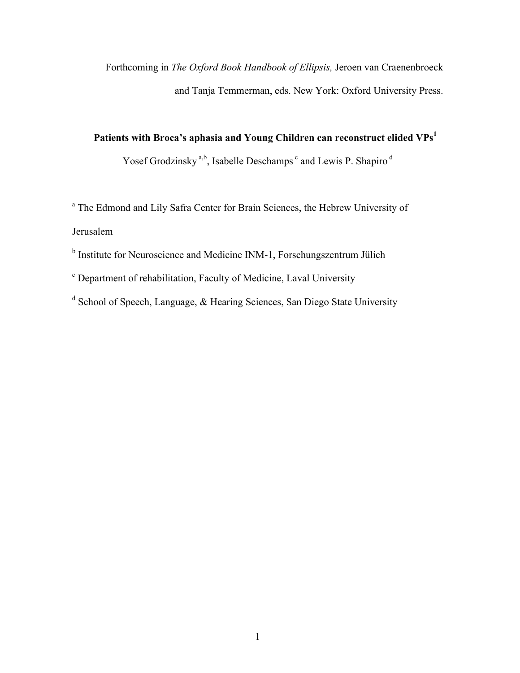Forthcoming in *The Oxford Book Handbook of Ellipsis,* Jeroen van Craenenbroeck and Tanja Temmerman, eds. New York: Oxford University Press.

**Patients with Broca's aphasia and Young Children can reconstruct elided VPs<sup>1</sup>**

Yosef Grodzinsky<sup>a,b</sup>, Isabelle Deschamps<sup>c</sup> and Lewis P. Shapiro<sup>d</sup>

<sup>a</sup> The Edmond and Lily Safra Center for Brain Sciences, the Hebrew University of Jerusalem

<sup>b</sup> Institute for Neuroscience and Medicine INM-1, Forschungszentrum Jülich

<sup>c</sup> Department of rehabilitation, Faculty of Medicine, Laval University

<sup>d</sup> School of Speech, Language, & Hearing Sciences, San Diego State University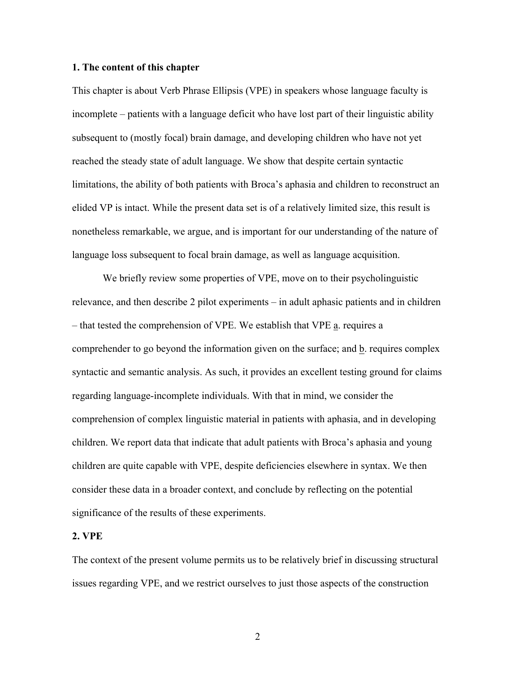### **1. The content of this chapter**

This chapter is about Verb Phrase Ellipsis (VPE) in speakers whose language faculty is incomplete – patients with a language deficit who have lost part of their linguistic ability subsequent to (mostly focal) brain damage, and developing children who have not yet reached the steady state of adult language. We show that despite certain syntactic limitations, the ability of both patients with Broca's aphasia and children to reconstruct an elided VP is intact. While the present data set is of a relatively limited size, this result is nonetheless remarkable, we argue, and is important for our understanding of the nature of language loss subsequent to focal brain damage, as well as language acquisition.

We briefly review some properties of VPE, move on to their psycholinguistic relevance, and then describe 2 pilot experiments – in adult aphasic patients and in children – that tested the comprehension of VPE. We establish that VPE a. requires a comprehender to go beyond the information given on the surface; and b. requires complex syntactic and semantic analysis. As such, it provides an excellent testing ground for claims regarding language-incomplete individuals. With that in mind, we consider the comprehension of complex linguistic material in patients with aphasia, and in developing children. We report data that indicate that adult patients with Broca's aphasia and young children are quite capable with VPE, despite deficiencies elsewhere in syntax. We then consider these data in a broader context, and conclude by reflecting on the potential significance of the results of these experiments.

### **2. VPE**

The context of the present volume permits us to be relatively brief in discussing structural issues regarding VPE, and we restrict ourselves to just those aspects of the construction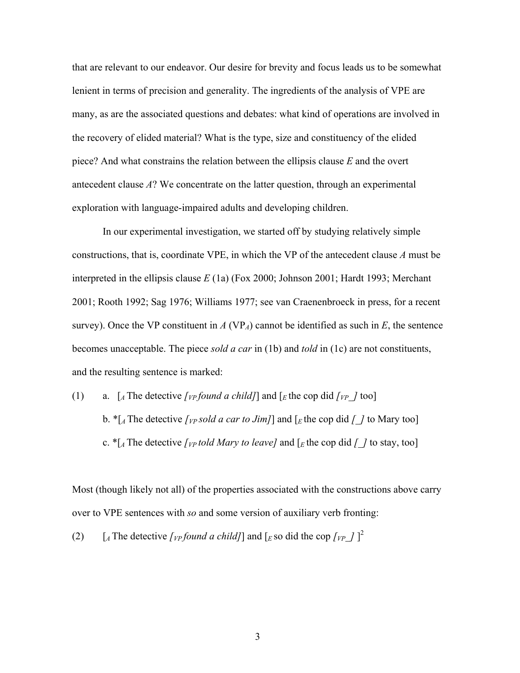that are relevant to our endeavor. Our desire for brevity and focus leads us to be somewhat lenient in terms of precision and generality. The ingredients of the analysis of VPE are many, as are the associated questions and debates: what kind of operations are involved in the recovery of elided material? What is the type, size and constituency of the elided piece? And what constrains the relation between the ellipsis clause *E* and the overt antecedent clause *A*? We concentrate on the latter question, through an experimental exploration with language-impaired adults and developing children.

In our experimental investigation, we started off by studying relatively simple constructions, that is, coordinate VPE, in which the VP of the antecedent clause *A* must be interpreted in the ellipsis clause *E* (1a) (Fox 2000; Johnson 2001; Hardt 1993; Merchant 2001; Rooth 1992; Sag 1976; Williams 1977; see van Craenenbroeck in press, for a recent survey). Once the VP constituent in  $A$  (VP<sub>A</sub>) cannot be identified as such in  $E$ , the sentence becomes unacceptable. The piece *sold a car* in (1b) and *told* in (1c) are not constituents, and the resulting sentence is marked:

(1) a. [*A* The detective  $\int_{VP}$  found a child]] and  $\int_{E}$  the cop did  $\int_{VP}$  [ too] b.  $*$ [A The detective *[vp sold a car to Jim]*] and [E the cop did *[\_]* to Mary too] c.  $*$ [A The detective *[vp told Mary to leave]* and [E the cop did *[]* to stay, too]

Most (though likely not all) of the properties associated with the constructions above carry over to VPE sentences with *so* and some version of auxiliary verb fronting:

(2)  $\left[ \begin{array}{cc} \text{A} \text{The defective } \text{[vp} \text{found a child} \text{]} \text{ and } \text{[E so did the cop } \text{[vp]} \text{]} \end{array} \right]^2$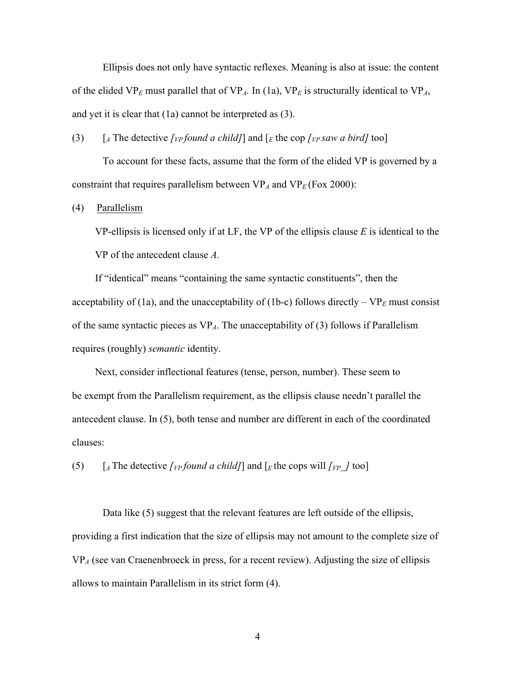Ellipsis does not only have syntactic reflexes. Meaning is also at issue: the content of the elided  $VP_E$  must parallel that of  $VP_A$ . In (1a),  $VP_E$  is structurally identical to  $VP_A$ , and yet it is clear that (1a) cannot be interpreted as (3).

# (3)  $\begin{bmatrix} A & A \end{bmatrix}$  [*A* The detective [*VP* found a child]] and [*E* the cop [*VP* saw a bird] too]

To account for these facts, assume that the form of the elided VP is governed by a constraint that requires parallelism between  $VP_A$  and  $VP_E$  (Fox 2000):

(4) Parallelism

VP-ellipsis is licensed only if at LF, the VP of the ellipsis clause *E* is identical to the VP of the antecedent clause *A.*

If "identical" means "containing the same syntactic constituents", then the acceptability of (1a), and the unacceptability of (1b-c) follows directly  $-VP_E$  must consist of the same syntactic pieces as VP*A*. The unacceptability of (3) follows if Parallelism requires (roughly) *semantic* identity.

Next, consider inflectional features (tense, person, number). These seem to be exempt from the Parallelism requirement, as the ellipsis clause needn't parallel the antecedent clause. In (5), both tense and number are different in each of the coordinated clauses:

(5)  $\left[ \begin{array}{cc} A \text{ The defective } f_{VP} \text{ found } a \text{ child} \end{array} \right]$  and  $\left[ \begin{array}{cc} E \text{ the corps will } f_{VP} \end{array} \right]$  too]

Data like (5) suggest that the relevant features are left outside of the ellipsis, providing a first indication that the size of ellipsis may not amount to the complete size of VP*<sup>A</sup>* (see van Craenenbroeck in press, for a recent review). Adjusting the size of ellipsis allows to maintain Parallelism in its strict form (4).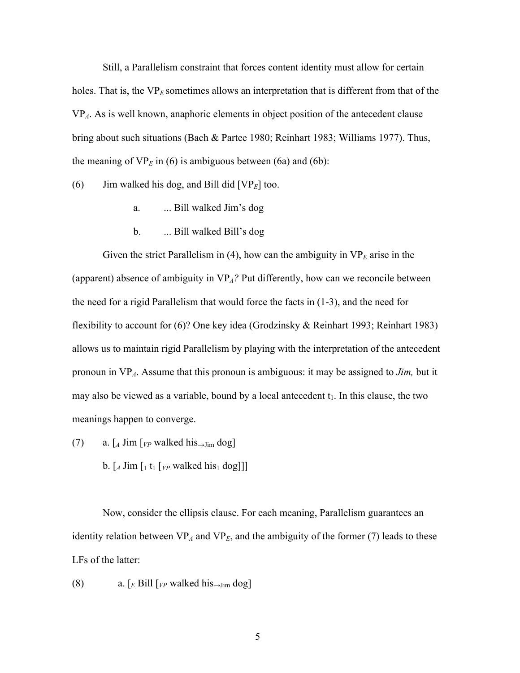Still, a Parallelism constraint that forces content identity must allow for certain holes. That is, the  $VP_E$  sometimes allows an interpretation that is different from that of the VP*A*. As is well known, anaphoric elements in object position of the antecedent clause bring about such situations (Bach & Partee 1980; Reinhart 1983; Williams 1977). Thus, the meaning of  $VP_E$  in (6) is ambiguous between (6a) and (6b):

(6) Jim walked his dog, and Bill did [VP*E*] too.

- a. ... Bill walked Jim's dog
- b. ... Bill walked Bill's dog

Given the strict Parallelism in (4), how can the ambiguity in  $VP<sub>E</sub>$  arise in the (apparent) absence of ambiguity in VP*A?* Put differently, how can we reconcile between the need for a rigid Parallelism that would force the facts in (1-3), and the need for flexibility to account for (6)? One key idea (Grodzinsky & Reinhart 1993; Reinhart 1983) allows us to maintain rigid Parallelism by playing with the interpretation of the antecedent pronoun in VP*A*. Assume that this pronoun is ambiguous: it may be assigned to *Jim,* but it may also be viewed as a variable, bound by a local antecedent  $t_1$ . In this clause, the two meanings happen to converge.

(7) a.  $\left[ \begin{matrix} A & \text{Jim} \\ A & \text{V} \end{matrix} \right]$  walked his $\rightarrow$  Jim dog

b.  $\left[ \begin{smallmatrix} A & \text{Jim} & 1 \\ 1 & 1 & \end{smallmatrix} \right]$  [*vp* walked his<sub>1</sub> dog]]]

Now, consider the ellipsis clause. For each meaning, Parallelism guarantees an identity relation between  $VP_A$  and  $VP_E$ , and the ambiguity of the former (7) leads to these LFs of the latter:

(8) **a.**  $\left[ E \text{ Bill } \left[ \text{VP} \text{ walked his} \rightarrow \text{Jim } \text{dog} \right] \right]$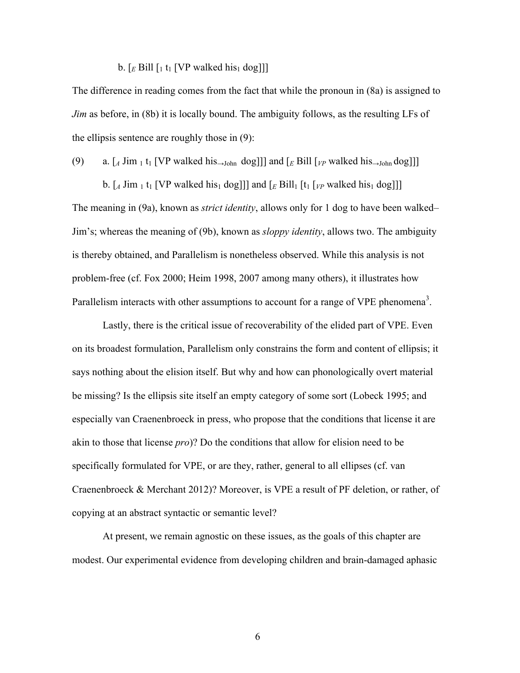b.  $\lceil E \cdot E \rceil$  [1 t<sub>1</sub> [VP walked his<sub>1</sub> dog]]]

The difference in reading comes from the fact that while the pronoun in (8a) is assigned to *Jim* as before, in (8b) it is locally bound. The ambiguity follows, as the resulting LFs of the ellipsis sentence are roughly those in (9):

(9) a.  $\lceil_{A} \text{Jim }_1 \text{t}_1 \text{ [VP walked his}\rightarrow_{John} \text{dog} \text{]]}$  and  $\lceil_{E} \text{Bill } \lceil_{VP} \text{ walked his}\rightarrow_{John} \text{dog} \text{]]}$ 

b.  $\lceil_{A}$  Jim  $\lceil_{1}$  [VP walked his<sub>1</sub> dog]]] and  $\lceil_{E}$  Bill<sub>1</sub> [t<sub>1</sub>  $\lceil_{VP}$  walked his<sub>1</sub> dog]]] The meaning in (9a), known as *strict identity*, allows only for 1 dog to have been walked– Jim's; whereas the meaning of (9b), known as *sloppy identity*, allows two. The ambiguity is thereby obtained, and Parallelism is nonetheless observed. While this analysis is not problem-free (cf. Fox 2000; Heim 1998, 2007 among many others), it illustrates how Parallelism interacts with other assumptions to account for a range of VPE phenomena<sup>3</sup>.

Lastly, there is the critical issue of recoverability of the elided part of VPE. Even on its broadest formulation, Parallelism only constrains the form and content of ellipsis; it says nothing about the elision itself. But why and how can phonologically overt material be missing? Is the ellipsis site itself an empty category of some sort (Lobeck 1995; and especially van Craenenbroeck in press, who propose that the conditions that license it are akin to those that license *pro*)? Do the conditions that allow for elision need to be specifically formulated for VPE, or are they, rather, general to all ellipses (cf. van Craenenbroeck & Merchant 2012)? Moreover, is VPE a result of PF deletion, or rather, of copying at an abstract syntactic or semantic level?

At present, we remain agnostic on these issues, as the goals of this chapter are modest. Our experimental evidence from developing children and brain-damaged aphasic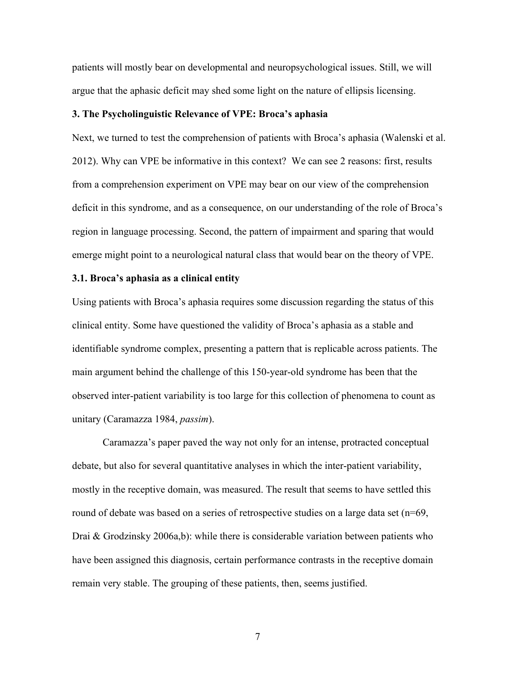patients will mostly bear on developmental and neuropsychological issues. Still, we will argue that the aphasic deficit may shed some light on the nature of ellipsis licensing.

### **3. The Psycholinguistic Relevance of VPE: Broca's aphasia**

Next, we turned to test the comprehension of patients with Broca's aphasia (Walenski et al. 2012). Why can VPE be informative in this context? We can see 2 reasons: first, results from a comprehension experiment on VPE may bear on our view of the comprehension deficit in this syndrome, and as a consequence, on our understanding of the role of Broca's region in language processing. Second, the pattern of impairment and sparing that would emerge might point to a neurological natural class that would bear on the theory of VPE.

## **3.1. Broca's aphasia as a clinical entity**

Using patients with Broca's aphasia requires some discussion regarding the status of this clinical entity. Some have questioned the validity of Broca's aphasia as a stable and identifiable syndrome complex, presenting a pattern that is replicable across patients. The main argument behind the challenge of this 150-year-old syndrome has been that the observed inter-patient variability is too large for this collection of phenomena to count as unitary (Caramazza 1984, *passim*).

Caramazza's paper paved the way not only for an intense, protracted conceptual debate, but also for several quantitative analyses in which the inter-patient variability, mostly in the receptive domain, was measured. The result that seems to have settled this round of debate was based on a series of retrospective studies on a large data set (n=69, Drai & Grodzinsky 2006a,b): while there is considerable variation between patients who have been assigned this diagnosis, certain performance contrasts in the receptive domain remain very stable. The grouping of these patients, then, seems justified.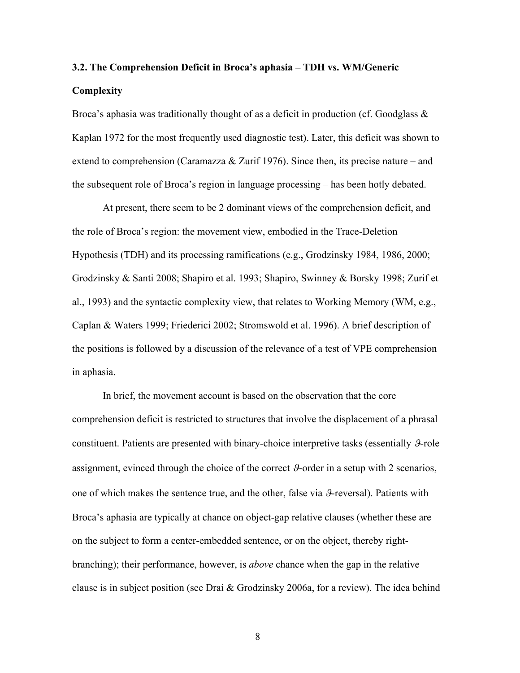# **3.2. The Comprehension Deficit in Broca's aphasia – TDH vs. WM/Generic Complexity**

Broca's aphasia was traditionally thought of as a deficit in production (cf. Goodglass  $\&$ Kaplan 1972 for the most frequently used diagnostic test). Later, this deficit was shown to extend to comprehension (Caramazza  $&$  Zurif 1976). Since then, its precise nature – and the subsequent role of Broca's region in language processing – has been hotly debated.

At present, there seem to be 2 dominant views of the comprehension deficit, and the role of Broca's region: the movement view, embodied in the Trace-Deletion Hypothesis (TDH) and its processing ramifications (e.g., Grodzinsky 1984, 1986, 2000; Grodzinsky & Santi 2008; Shapiro et al. 1993; Shapiro, Swinney & Borsky 1998; Zurif et al., 1993) and the syntactic complexity view, that relates to Working Memory (WM, e.g., Caplan & Waters 1999; Friederici 2002; Stromswold et al. 1996). A brief description of the positions is followed by a discussion of the relevance of a test of VPE comprehension in aphasia.

In brief, the movement account is based on the observation that the core comprehension deficit is restricted to structures that involve the displacement of a phrasal constituent. Patients are presented with binary-choice interpretive tasks (essentially 9-role assignment, evinced through the choice of the correct J-order in a setup with 2 scenarios, one of which makes the sentence true, and the other, false via J-reversal). Patients with Broca's aphasia are typically at chance on object-gap relative clauses (whether these are on the subject to form a center-embedded sentence, or on the object, thereby rightbranching); their performance, however, is *above* chance when the gap in the relative clause is in subject position (see Drai & Grodzinsky 2006a, for a review). The idea behind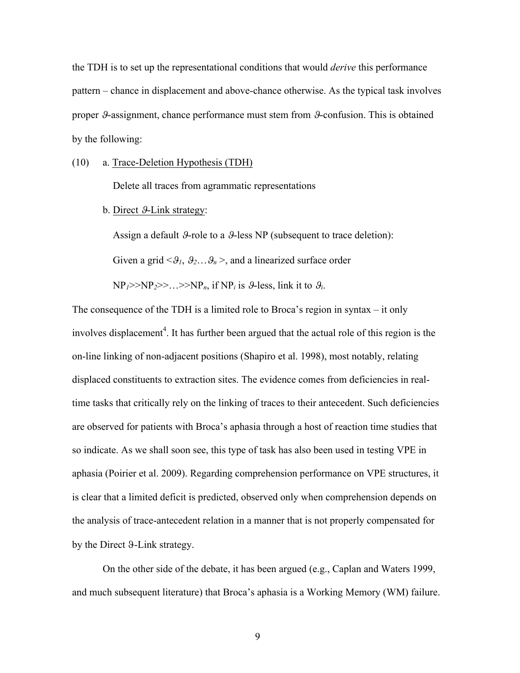the TDH is to set up the representational conditions that would *derive* this performance pattern – chance in displacement and above-chance otherwise. As the typical task involves proper J-assignment, chance performance must stem from J-confusion. This is obtained by the following:

### (10) a. Trace-Deletion Hypothesis (TDH)

Delete all traces from agrammatic representations

### b. Direct 9-Link strategy:

Assign a default 9-role to a 9-less NP (subsequent to trace deletion): Given a grid  $\langle \vartheta_1, \vartheta_2, \ldots, \vartheta_n \rangle$ , and a linearized surface order  $NP<sub>1</sub>>NP<sub>2</sub>>...>>NP<sub>n</sub>$ , if  $NP<sub>i</sub>$  is  $\theta$ -less, link it to  $\theta<sub>i</sub>$ .

The consequence of the TDH is a limited role to Broca's region in syntax – it only involves displacement<sup>4</sup>. It has further been argued that the actual role of this region is the on-line linking of non-adjacent positions (Shapiro et al. 1998), most notably, relating displaced constituents to extraction sites. The evidence comes from deficiencies in realtime tasks that critically rely on the linking of traces to their antecedent. Such deficiencies are observed for patients with Broca's aphasia through a host of reaction time studies that so indicate. As we shall soon see, this type of task has also been used in testing VPE in aphasia (Poirier et al. 2009). Regarding comprehension performance on VPE structures, it is clear that a limited deficit is predicted, observed only when comprehension depends on the analysis of trace-antecedent relation in a manner that is not properly compensated for by the Direct 9-Link strategy.

On the other side of the debate, it has been argued (e.g., Caplan and Waters 1999, and much subsequent literature) that Broca's aphasia is a Working Memory (WM) failure.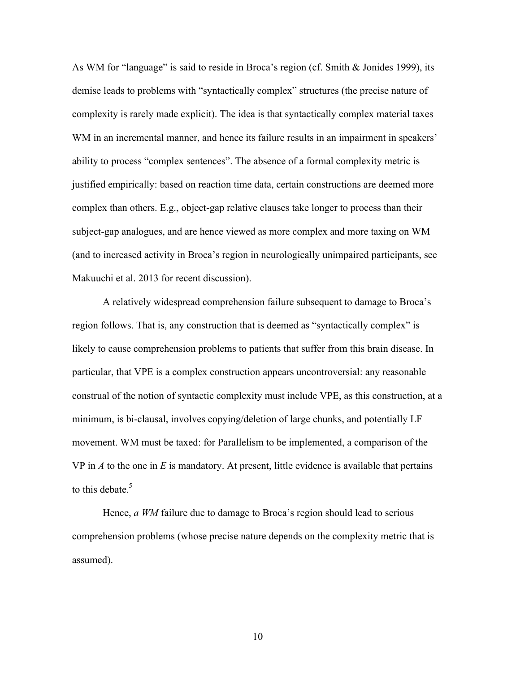As WM for "language" is said to reside in Broca's region (cf. Smith & Jonides 1999), its demise leads to problems with "syntactically complex" structures (the precise nature of complexity is rarely made explicit). The idea is that syntactically complex material taxes WM in an incremental manner, and hence its failure results in an impairment in speakers' ability to process "complex sentences". The absence of a formal complexity metric is justified empirically: based on reaction time data, certain constructions are deemed more complex than others. E.g., object-gap relative clauses take longer to process than their subject-gap analogues, and are hence viewed as more complex and more taxing on WM (and to increased activity in Broca's region in neurologically unimpaired participants, see Makuuchi et al. 2013 for recent discussion).

A relatively widespread comprehension failure subsequent to damage to Broca's region follows. That is, any construction that is deemed as "syntactically complex" is likely to cause comprehension problems to patients that suffer from this brain disease. In particular, that VPE is a complex construction appears uncontroversial: any reasonable construal of the notion of syntactic complexity must include VPE, as this construction, at a minimum, is bi-clausal, involves copying/deletion of large chunks, and potentially LF movement. WM must be taxed: for Parallelism to be implemented, a comparison of the VP in *A* to the one in *E* is mandatory. At present, little evidence is available that pertains to this debate. $5$ 

Hence, *a WM* failure due to damage to Broca's region should lead to serious comprehension problems (whose precise nature depends on the complexity metric that is assumed).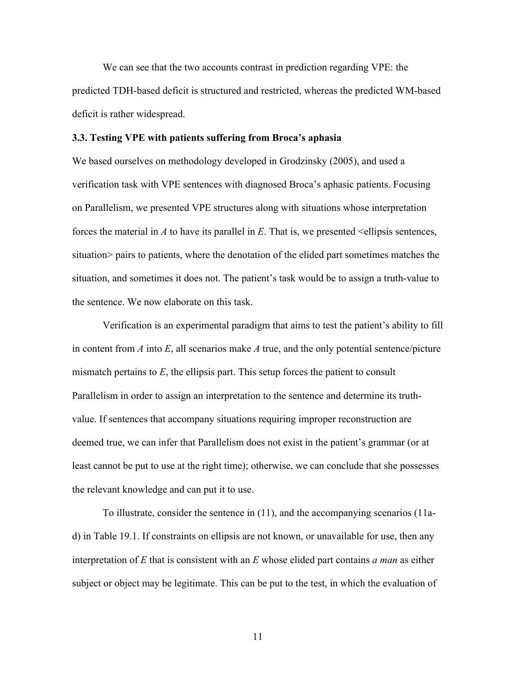We can see that the two accounts contrast in prediction regarding VPE: the predicted TDH-based deficit is structured and restricted, whereas the predicted WM-based deficit is rather widespread.

### **3.3. Testing VPE with patients suffering from Broca's aphasia**

We based ourselves on methodology developed in Grodzinsky (2005), and used a verification task with VPE sentences with diagnosed Broca's aphasic patients. Focusing on Parallelism, we presented VPE structures along with situations whose interpretation forces the material in  $A$  to have its parallel in  $E$ . That is, we presented  $\leq$ ellipsis sentences, situation pairs to patients, where the denotation of the elided part sometimes matches the situation, and sometimes it does not. The patient's task would be to assign a truth-value to the sentence. We now elaborate on this task.

Verification is an experimental paradigm that aims to test the patient's ability to fill in content from *A* into *E*, all scenarios make *A* true, and the only potential sentence/picture mismatch pertains to *E*, the ellipsis part. This setup forces the patient to consult Parallelism in order to assign an interpretation to the sentence and determine its truthvalue. If sentences that accompany situations requiring improper reconstruction are deemed true, we can infer that Parallelism does not exist in the patient's grammar (or at least cannot be put to use at the right time); otherwise, we can conclude that she possesses the relevant knowledge and can put it to use.

To illustrate, consider the sentence in (11), and the accompanying scenarios (11ad) in Table 19.1. If constraints on ellipsis are not known, or unavailable for use, then any interpretation of *E* that is consistent with an *E* whose elided part contains *a man* as either subject or object may be legitimate. This can be put to the test, in which the evaluation of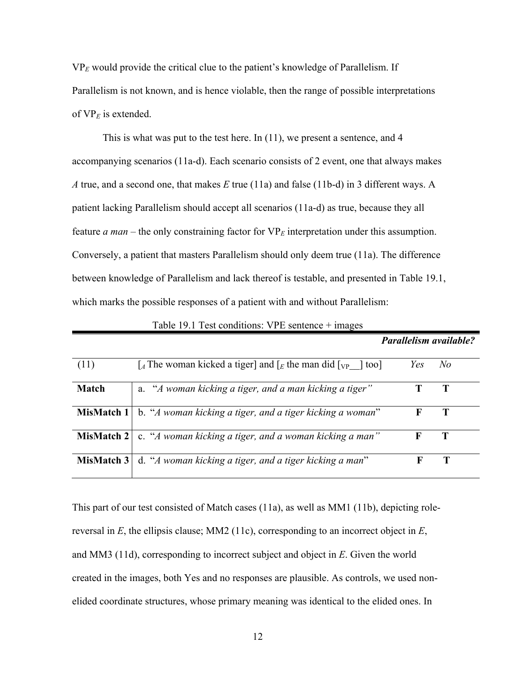VP*<sup>E</sup>* would provide the critical clue to the patient's knowledge of Parallelism. If Parallelism is not known, and is hence violable, then the range of possible interpretations of VP*<sup>E</sup>* is extended.

This is what was put to the test here. In (11), we present a sentence, and 4 accompanying scenarios (11a-d). Each scenario consists of 2 event, one that always makes *A* true, and a second one, that makes *E* true (11a) and false (11b-d) in 3 different ways. A patient lacking Parallelism should accept all scenarios (11a-d) as true, because they all feature *a man* – the only constraining factor for VP*<sup>E</sup>* interpretation under this assumption. Conversely, a patient that masters Parallelism should only deem true (11a). The difference between knowledge of Parallelism and lack thereof is testable, and presented in Table 19.1, which marks the possible responses of a patient with and without Parallelism:

|  |  | Table 19.1 Test conditions: VPE sentence + images |  |
|--|--|---------------------------------------------------|--|
|--|--|---------------------------------------------------|--|

| Parallelism available? |
|------------------------|
|------------------------|

| (11)         | [A The woman kicked a tiger] and [E the man did [ $_{VP}$ ] too] | Yes | $N_{O}$ |
|--------------|------------------------------------------------------------------|-----|---------|
| <b>Match</b> | a. "A woman kicking a tiger, and a man kicking a tiger"          |     |         |
| MisMatch 1   | b. "A woman kicking a tiger, and a tiger kicking a woman"        |     |         |
| MisMatch 2   | c. "A woman kicking a tiger, and a woman kicking a man"          |     | Т       |
| MisMatch 3   | d. "A woman kicking a tiger, and a tiger kicking a man"          |     |         |

This part of our test consisted of Match cases (11a), as well as MM1 (11b), depicting rolereversal in *E*, the ellipsis clause; MM2 (11c), corresponding to an incorrect object in *E*, and MM3 (11d), corresponding to incorrect subject and object in *E*. Given the world created in the images, both Yes and no responses are plausible. As controls, we used nonelided coordinate structures, whose primary meaning was identical to the elided ones. In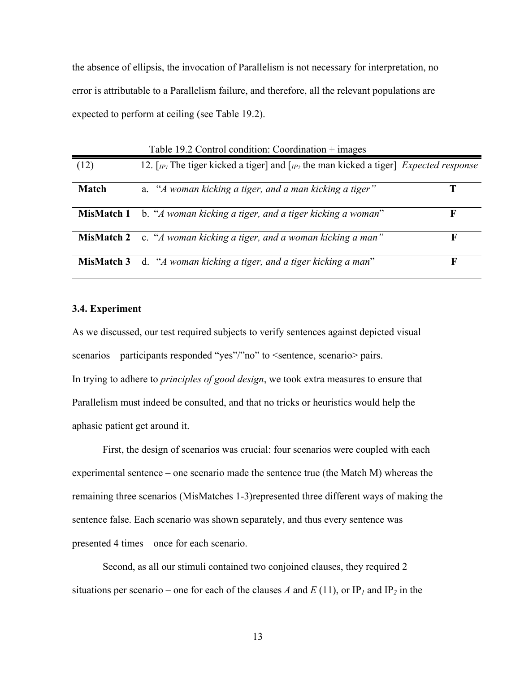the absence of ellipsis, the invocation of Parallelism is not necessary for interpretation, no error is attributable to a Parallelism failure, and therefore, all the relevant populations are expected to perform at ceiling (see Table 19.2).

| Table 17.2 Control Condition, Coordination + images |                                                                                                                                |   |  |  |  |  |  |
|-----------------------------------------------------|--------------------------------------------------------------------------------------------------------------------------------|---|--|--|--|--|--|
| (12)                                                | 12. $\lceil_{IP_1}\rceil$ The tiger kicked a tiger] and $\lceil_{IP_2}\rceil$ the man kicked a tiger] <i>Expected response</i> |   |  |  |  |  |  |
| <b>Match</b>                                        | a. "A woman kicking a tiger, and a man kicking a tiger"                                                                        | т |  |  |  |  |  |
| <b>MisMatch 1</b>                                   | b. "A woman kicking a tiger, and a tiger kicking a woman"                                                                      |   |  |  |  |  |  |
| <b>MisMatch 2</b>                                   | c. "A woman kicking a tiger, and a woman kicking a man"                                                                        |   |  |  |  |  |  |
| <b>MisMatch 3</b>                                   | d. "A woman kicking a tiger, and a tiger kicking a man"                                                                        |   |  |  |  |  |  |

Table 19.2 Control condition: Coordination  $+$  images

## **3.4. Experiment**

As we discussed, our test required subjects to verify sentences against depicted visual scenarios – participants responded "yes"/"no" to <sentence, scenario pairs. In trying to adhere to *principles of good design*, we took extra measures to ensure that Parallelism must indeed be consulted, and that no tricks or heuristics would help the aphasic patient get around it.

First, the design of scenarios was crucial: four scenarios were coupled with each experimental sentence – one scenario made the sentence true (the Match M) whereas the remaining three scenarios (MisMatches 1-3)represented three different ways of making the sentence false. Each scenario was shown separately, and thus every sentence was presented 4 times – once for each scenario.

Second, as all our stimuli contained two conjoined clauses, they required 2 situations per scenario – one for each of the clauses *A* and *E* (11), or IP<sub>1</sub> and IP<sub>2</sub> in the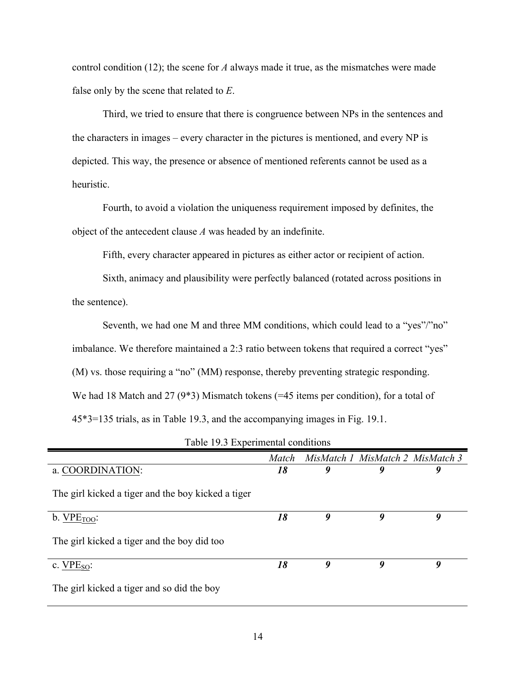control condition (12); the scene for *A* always made it true, as the mismatches were made false only by the scene that related to *E*.

Third, we tried to ensure that there is congruence between NPs in the sentences and the characters in images – every character in the pictures is mentioned, and every NP is depicted. This way, the presence or absence of mentioned referents cannot be used as a heuristic.

Fourth, to avoid a violation the uniqueness requirement imposed by definites, the object of the antecedent clause *A* was headed by an indefinite.

Fifth, every character appeared in pictures as either actor or recipient of action.

Sixth, animacy and plausibility were perfectly balanced (rotated across positions in the sentence).

Seventh, we had one M and three MM conditions, which could lead to a "yes"/"no" imbalance. We therefore maintained a 2:3 ratio between tokens that required a correct "yes" (M) vs. those requiring a "no" (MM) response, thereby preventing strategic responding. We had 18 Match and 27 (9<sup>\*</sup>3) Mismatch tokens (=45 items per condition), for a total of 45\*3=135 trials, as in Table 19.3, and the accompanying images in Fig. 19.1.

| Table 19.3 Experimental conditions                 |       |   |                                  |   |  |  |  |  |  |
|----------------------------------------------------|-------|---|----------------------------------|---|--|--|--|--|--|
|                                                    | Match |   | MisMatch 1 MisMatch 2 MisMatch 3 |   |  |  |  |  |  |
| a. COORDINATION:                                   | 18    | 9 | 9                                | 9 |  |  |  |  |  |
| The girl kicked a tiger and the boy kicked a tiger |       |   |                                  |   |  |  |  |  |  |
| $b. VPE$ <sub>TOO</sub> :                          | 18    | 9 | 9                                | 9 |  |  |  |  |  |
| The girl kicked a tiger and the boy did too        |       |   |                                  |   |  |  |  |  |  |
| c. $VPESO$ :                                       | 18    | 9 | 9                                | Q |  |  |  |  |  |
| The girl kicked a tiger and so did the boy         |       |   |                                  |   |  |  |  |  |  |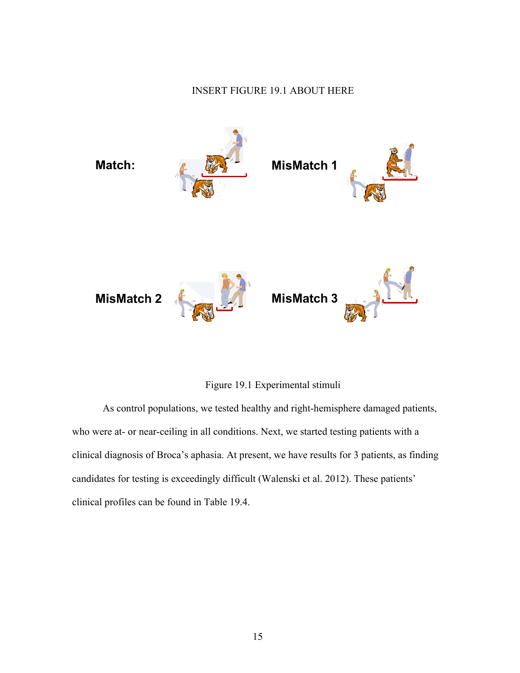# INSERT FIGURE 19.1 ABOUT HERE



Figure 19.1 Experimental stimuli

As control populations, we tested healthy and right-hemisphere damaged patients, who were at- or near-ceiling in all conditions. Next, we started testing patients with a clinical diagnosis of Broca's aphasia. At present, we have results for 3 patients, as finding candidates for testing is exceedingly difficult (Walenski et al. 2012). These patients' clinical profiles can be found in Table 19.4.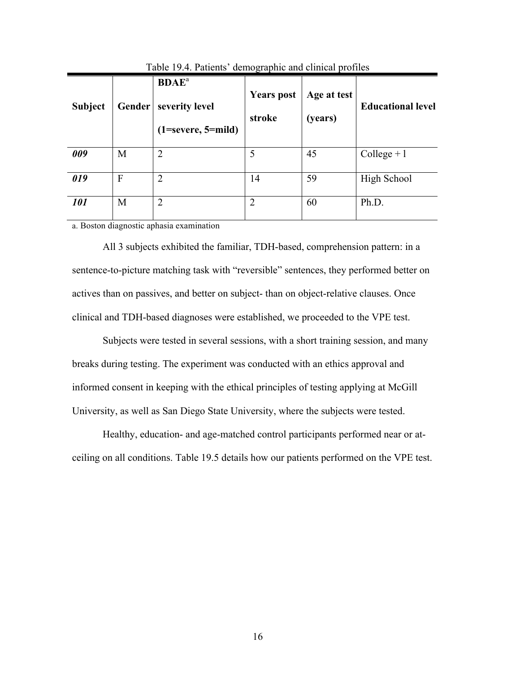| <b>Subject</b> | Gender | $BDAEa$<br>severity level<br>$(1 = severe, 5 = mild)$ | <b>Years post</b><br>stroke | Age at test<br>(years) | <b>Educational level</b> |
|----------------|--------|-------------------------------------------------------|-----------------------------|------------------------|--------------------------|
| 009            | M      | $\overline{2}$                                        | 5                           | 45                     | College $+1$             |
| 019            | F      | $\overline{2}$                                        | 14                          | 59                     | High School              |
| 101            | M      | $\overline{2}$                                        | $\overline{2}$              | 60                     | Ph.D.                    |

Table 19.4. Patients' demographic and clinical profiles

a. Boston diagnostic aphasia examination

All 3 subjects exhibited the familiar, TDH-based, comprehension pattern: in a sentence-to-picture matching task with "reversible" sentences, they performed better on actives than on passives, and better on subject- than on object-relative clauses. Once clinical and TDH-based diagnoses were established, we proceeded to the VPE test.

Subjects were tested in several sessions, with a short training session, and many breaks during testing. The experiment was conducted with an ethics approval and informed consent in keeping with the ethical principles of testing applying at McGill University, as well as San Diego State University, where the subjects were tested.

Healthy, education- and age-matched control participants performed near or atceiling on all conditions. Table 19.5 details how our patients performed on the VPE test.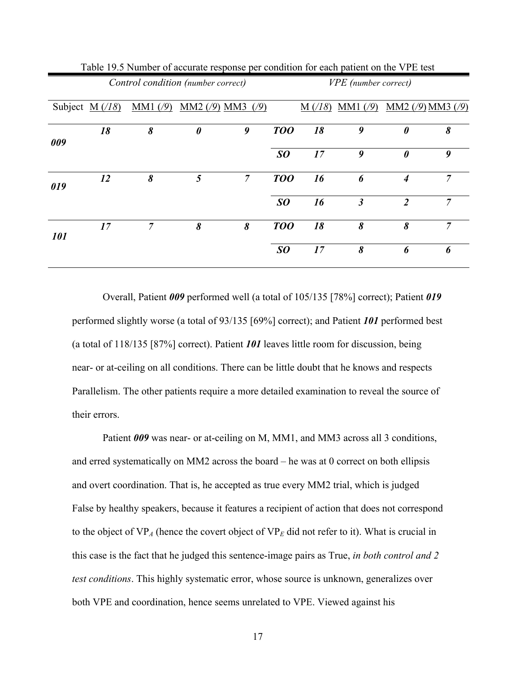| Control condition (number correct) |                  |         |                       |                | VPE (number correct) |                         |                |                     |   |
|------------------------------------|------------------|---------|-----------------------|----------------|----------------------|-------------------------|----------------|---------------------|---|
|                                    | Subject $M/(18)$ | MM1 (9) | MM2 $(9)$ MM3 $(9)$   |                |                      | $M \left( / 18 \right)$ | MM1 $($ /9)    | MM2 $(9)$ MM3 $(9)$ |   |
| 009                                | 18               | 8       | $\boldsymbol{\theta}$ | 9              | TOO                  | 18                      | 9              | 0                   | 8 |
|                                    |                  |         |                       |                | SO                   | 17                      | 9              | 0                   | 9 |
| 019                                | 12               | 8       | 5                     | $\overline{7}$ | TOO                  | 16                      | 6              | 4                   | 7 |
|                                    |                  |         |                       |                | SO                   | 16                      | $\mathfrak{z}$ | $\overline{2}$      | 7 |
| 101                                | 17               | 7       | 8                     | 8              | TOO                  | 18                      | 8              | 8                   | 7 |
|                                    |                  |         |                       |                | SO                   | 17                      | 8              | 6                   | 6 |

Table 19.5 Number of accurate response per condition for each patient on the VPE test

Overall, Patient *009* performed well (a total of 105/135 [78%] correct); Patient *019*  performed slightly worse (a total of 93/135 [69%] correct); and Patient *101* performed best (a total of 118/135 [87%] correct). Patient *101* leaves little room for discussion, being near- or at-ceiling on all conditions. There can be little doubt that he knows and respects Parallelism. The other patients require a more detailed examination to reveal the source of their errors.

Patient 009 was near- or at-ceiling on M, MM1, and MM3 across all 3 conditions, and erred systematically on MM2 across the board – he was at 0 correct on both ellipsis and overt coordination. That is, he accepted as true every MM2 trial, which is judged False by healthy speakers, because it features a recipient of action that does not correspond to the object of  $VP_A$  (hence the covert object of  $VP_E$  did not refer to it). What is crucial in this case is the fact that he judged this sentence-image pairs as True, *in both control and 2 test conditions*. This highly systematic error, whose source is unknown, generalizes over both VPE and coordination, hence seems unrelated to VPE. Viewed against his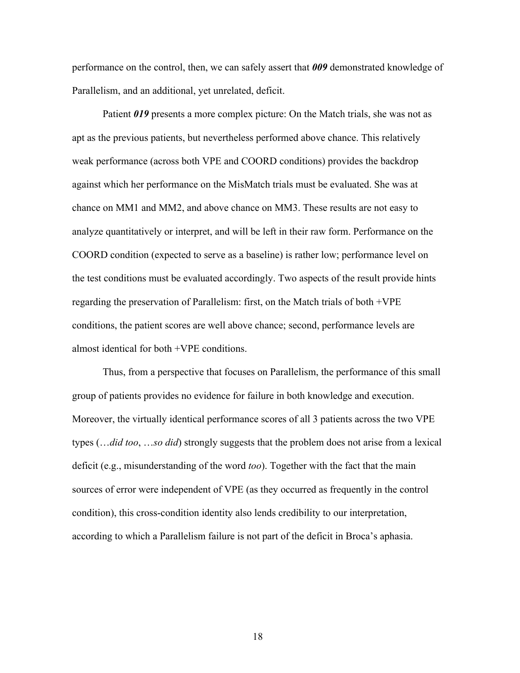performance on the control, then, we can safely assert that *009* demonstrated knowledge of Parallelism, and an additional, yet unrelated, deficit.

Patient 019 presents a more complex picture: On the Match trials, she was not as apt as the previous patients, but nevertheless performed above chance. This relatively weak performance (across both VPE and COORD conditions) provides the backdrop against which her performance on the MisMatch trials must be evaluated. She was at chance on MM1 and MM2, and above chance on MM3. These results are not easy to analyze quantitatively or interpret, and will be left in their raw form. Performance on the COORD condition (expected to serve as a baseline) is rather low; performance level on the test conditions must be evaluated accordingly. Two aspects of the result provide hints regarding the preservation of Parallelism: first, on the Match trials of both +VPE conditions, the patient scores are well above chance; second, performance levels are almost identical for both +VPE conditions.

Thus, from a perspective that focuses on Parallelism, the performance of this small group of patients provides no evidence for failure in both knowledge and execution. Moreover, the virtually identical performance scores of all 3 patients across the two VPE types (…*did too*, …*so did*) strongly suggests that the problem does not arise from a lexical deficit (e.g., misunderstanding of the word *too*). Together with the fact that the main sources of error were independent of VPE (as they occurred as frequently in the control condition), this cross-condition identity also lends credibility to our interpretation, according to which a Parallelism failure is not part of the deficit in Broca's aphasia.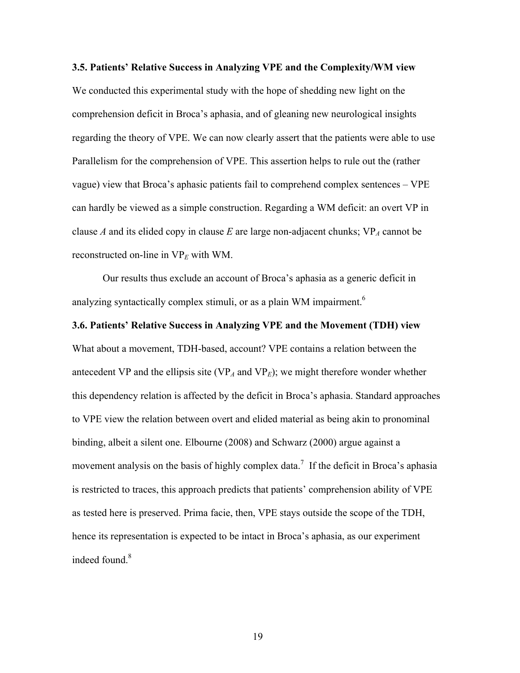#### **3.5. Patients' Relative Success in Analyzing VPE and the Complexity/WM view**

We conducted this experimental study with the hope of shedding new light on the comprehension deficit in Broca's aphasia, and of gleaning new neurological insights regarding the theory of VPE. We can now clearly assert that the patients were able to use Parallelism for the comprehension of VPE. This assertion helps to rule out the (rather vague) view that Broca's aphasic patients fail to comprehend complex sentences – VPE can hardly be viewed as a simple construction. Regarding a WM deficit: an overt VP in clause *A* and its elided copy in clause *E* are large non-adjacent chunks;  $VP_A$  cannot be reconstructed on-line in VP*<sup>E</sup>* with WM.

Our results thus exclude an account of Broca's aphasia as a generic deficit in analyzing syntactically complex stimuli, or as a plain WM impairment.<sup>6</sup>

### **3.6. Patients' Relative Success in Analyzing VPE and the Movement (TDH) view**

What about a movement, TDH-based, account? VPE contains a relation between the antecedent VP and the ellipsis site  $(VP_A$  and  $VP_E)$ ; we might therefore wonder whether this dependency relation is affected by the deficit in Broca's aphasia. Standard approaches to VPE view the relation between overt and elided material as being akin to pronominal binding, albeit a silent one. Elbourne (2008) and Schwarz (2000) argue against a movement analysis on the basis of highly complex data.<sup>7</sup> If the deficit in Broca's aphasia is restricted to traces, this approach predicts that patients' comprehension ability of VPE as tested here is preserved. Prima facie, then, VPE stays outside the scope of the TDH, hence its representation is expected to be intact in Broca's aphasia, as our experiment indeed found.<sup>8</sup>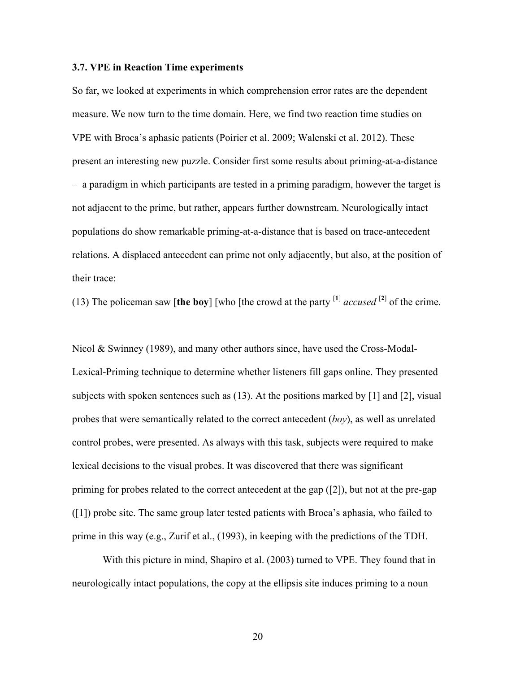### **3.7. VPE in Reaction Time experiments**

So far, we looked at experiments in which comprehension error rates are the dependent measure. We now turn to the time domain. Here, we find two reaction time studies on VPE with Broca's aphasic patients (Poirier et al. 2009; Walenski et al. 2012). These present an interesting new puzzle. Consider first some results about priming-at-a-distance – a paradigm in which participants are tested in a priming paradigm, however the target is not adjacent to the prime, but rather, appears further downstream. Neurologically intact populations do show remarkable priming-at-a-distance that is based on trace-antecedent relations. A displaced antecedent can prime not only adjacently, but also, at the position of their trace:

(13) The policeman saw [the boy] [who [the crowd at the party  $\begin{bmatrix} 1 \end{bmatrix}$  *accused*  $\begin{bmatrix} 2 \end{bmatrix}$  of the crime.

Nicol & Swinney (1989), and many other authors since, have used the Cross-Modal-Lexical-Priming technique to determine whether listeners fill gaps online. They presented subjects with spoken sentences such as (13). At the positions marked by [1] and [2], visual probes that were semantically related to the correct antecedent (*boy*), as well as unrelated control probes, were presented. As always with this task, subjects were required to make lexical decisions to the visual probes. It was discovered that there was significant priming for probes related to the correct antecedent at the gap  $(2)$ , but not at the pre-gap ([1]) probe site. The same group later tested patients with Broca's aphasia, who failed to prime in this way (e.g., Zurif et al., (1993), in keeping with the predictions of the TDH.

With this picture in mind, Shapiro et al. (2003) turned to VPE. They found that in neurologically intact populations, the copy at the ellipsis site induces priming to a noun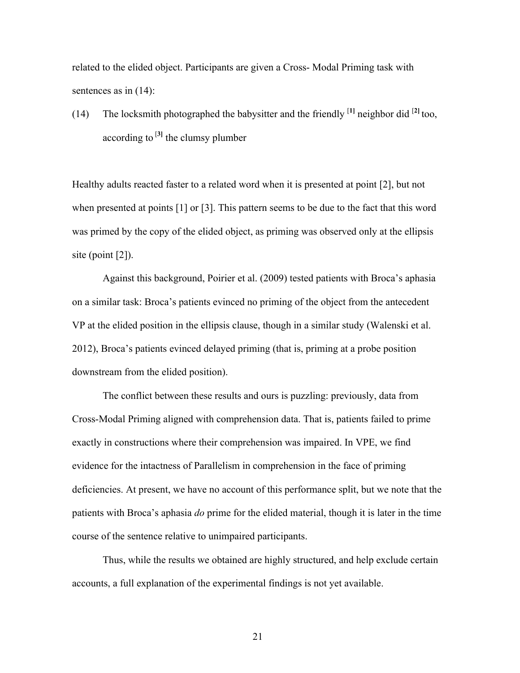related to the elided object. Participants are given a Cross- Modal Priming task with sentences as in (14):

(14) The locksmith photographed the babysitter and the friendly [**1]** neighbor did [**2]** too, according to [**3]** the clumsy plumber

Healthy adults reacted faster to a related word when it is presented at point [2], but not when presented at points [1] or [3]. This pattern seems to be due to the fact that this word was primed by the copy of the elided object, as priming was observed only at the ellipsis site (point [2]).

Against this background, Poirier et al. (2009) tested patients with Broca's aphasia on a similar task: Broca's patients evinced no priming of the object from the antecedent VP at the elided position in the ellipsis clause, though in a similar study (Walenski et al. 2012), Broca's patients evinced delayed priming (that is, priming at a probe position downstream from the elided position).

The conflict between these results and ours is puzzling: previously, data from Cross-Modal Priming aligned with comprehension data. That is, patients failed to prime exactly in constructions where their comprehension was impaired. In VPE, we find evidence for the intactness of Parallelism in comprehension in the face of priming deficiencies. At present, we have no account of this performance split, but we note that the patients with Broca's aphasia *do* prime for the elided material, though it is later in the time course of the sentence relative to unimpaired participants.

Thus, while the results we obtained are highly structured, and help exclude certain accounts, a full explanation of the experimental findings is not yet available.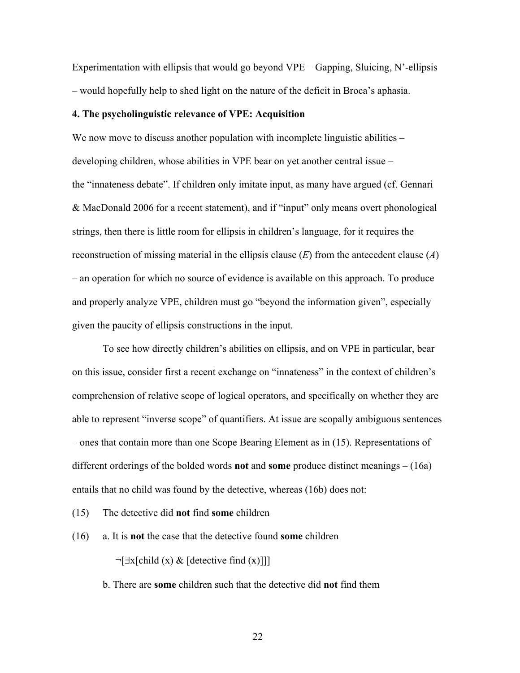Experimentation with ellipsis that would go beyond VPE – Gapping, Sluicing, N'-ellipsis – would hopefully help to shed light on the nature of the deficit in Broca's aphasia.

### **4. The psycholinguistic relevance of VPE: Acquisition**

We now move to discuss another population with incomplete linguistic abilities – developing children, whose abilities in VPE bear on yet another central issue – the "innateness debate". If children only imitate input, as many have argued (cf. Gennari & MacDonald 2006 for a recent statement), and if "input" only means overt phonological strings, then there is little room for ellipsis in children's language, for it requires the reconstruction of missing material in the ellipsis clause (*E*) from the antecedent clause (*A*) – an operation for which no source of evidence is available on this approach. To produce and properly analyze VPE, children must go "beyond the information given", especially given the paucity of ellipsis constructions in the input.

To see how directly children's abilities on ellipsis, and on VPE in particular, bear on this issue, consider first a recent exchange on "innateness" in the context of children's comprehension of relative scope of logical operators, and specifically on whether they are able to represent "inverse scope" of quantifiers. At issue are scopally ambiguous sentences – ones that contain more than one Scope Bearing Element as in (15). Representations of different orderings of the bolded words **not** and **some** produce distinct meanings – (16a) entails that no child was found by the detective, whereas (16b) does not:

- (15) The detective did **not** find **some** children
- (16) a. It is **not** the case that the detective found **some** children

 $\neg \exists x$ [child (x) & [detective find (x)]]]

- b. There are **some** children such that the detective did **not** find them
	- 22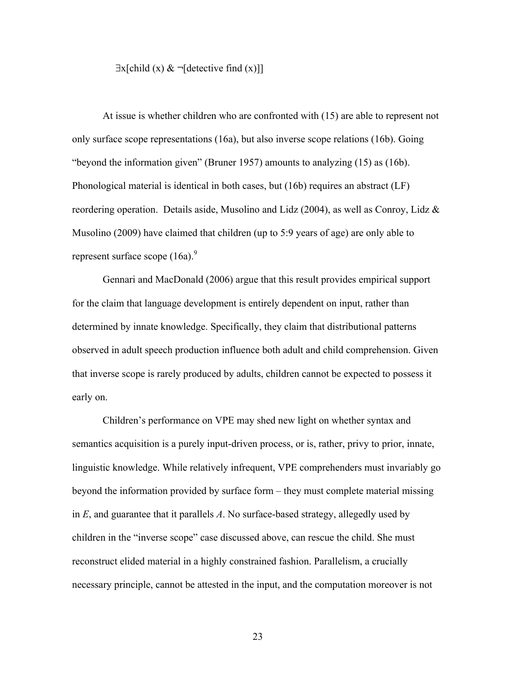$\exists x$ [child (x) &  $\neg$ [detective find (x)]]

At issue is whether children who are confronted with (15) are able to represent not only surface scope representations (16a), but also inverse scope relations (16b). Going "beyond the information given" (Bruner 1957) amounts to analyzing (15) as (16b). Phonological material is identical in both cases, but (16b) requires an abstract (LF) reordering operation. Details aside, Musolino and Lidz (2004), as well as Conroy, Lidz & Musolino (2009) have claimed that children (up to 5:9 years of age) are only able to represent surface scope  $(16a)$ .<sup>9</sup>

Gennari and MacDonald (2006) argue that this result provides empirical support for the claim that language development is entirely dependent on input, rather than determined by innate knowledge. Specifically, they claim that distributional patterns observed in adult speech production influence both adult and child comprehension. Given that inverse scope is rarely produced by adults, children cannot be expected to possess it early on.

Children's performance on VPE may shed new light on whether syntax and semantics acquisition is a purely input-driven process, or is, rather, privy to prior, innate, linguistic knowledge. While relatively infrequent, VPE comprehenders must invariably go beyond the information provided by surface form – they must complete material missing in *E*, and guarantee that it parallels *A*. No surface-based strategy, allegedly used by children in the "inverse scope" case discussed above, can rescue the child. She must reconstruct elided material in a highly constrained fashion. Parallelism, a crucially necessary principle, cannot be attested in the input, and the computation moreover is not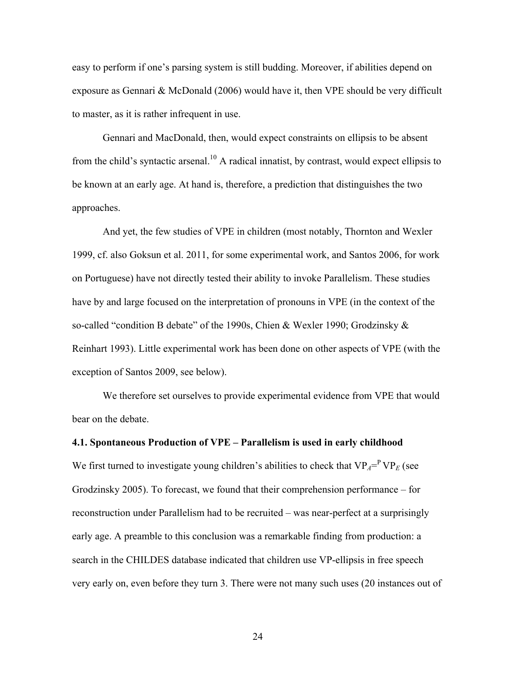easy to perform if one's parsing system is still budding. Moreover, if abilities depend on exposure as Gennari & McDonald (2006) would have it, then VPE should be very difficult to master, as it is rather infrequent in use.

Gennari and MacDonald, then, would expect constraints on ellipsis to be absent from the child's syntactic arsenal.<sup>10</sup> A radical innatist, by contrast, would expect ellipsis to be known at an early age. At hand is, therefore, a prediction that distinguishes the two approaches.

And yet, the few studies of VPE in children (most notably, Thornton and Wexler 1999, cf. also Goksun et al. 2011, for some experimental work, and Santos 2006, for work on Portuguese) have not directly tested their ability to invoke Parallelism. These studies have by and large focused on the interpretation of pronouns in VPE (in the context of the so-called "condition B debate" of the 1990s, Chien & Wexler 1990; Grodzinsky & Reinhart 1993). Little experimental work has been done on other aspects of VPE (with the exception of Santos 2009, see below).

We therefore set ourselves to provide experimental evidence from VPE that would bear on the debate.

### **4.1. Spontaneous Production of VPE – Parallelism is used in early childhood**

We first turned to investigate young children's abilities to check that  $VP_A = PVP_E$  (see Grodzinsky 2005). To forecast, we found that their comprehension performance – for reconstruction under Parallelism had to be recruited – was near-perfect at a surprisingly early age. A preamble to this conclusion was a remarkable finding from production: a search in the CHILDES database indicated that children use VP-ellipsis in free speech very early on, even before they turn 3. There were not many such uses (20 instances out of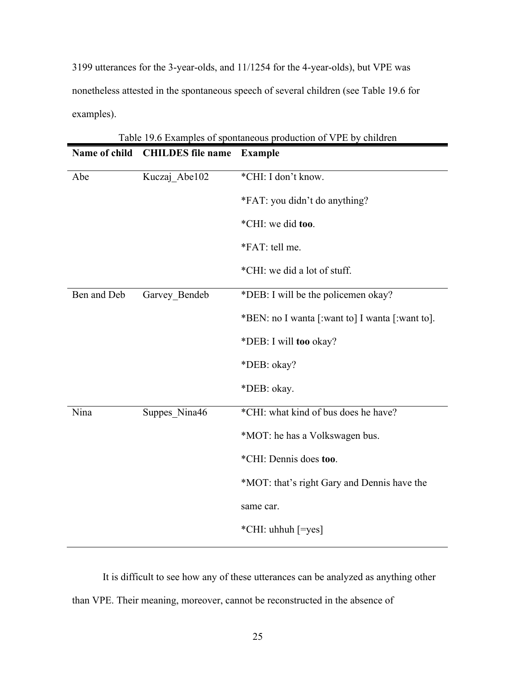3199 utterances for the 3-year-olds, and 11/1254 for the 4-year-olds), but VPE was nonetheless attested in the spontaneous speech of several children (see Table 19.6 for examples).

| <b>IVANIC VI CHIIU</b> | <b>CHILDES THE HAHIT</b> | елашріс                                         |
|------------------------|--------------------------|-------------------------------------------------|
| Abe                    | Kuczaj Abe102            | *CHI: I don't know.                             |
|                        |                          | *FAT: you didn't do anything?                   |
|                        |                          | *CHI: we did too.                               |
|                        |                          | *FAT: tell me.                                  |
|                        |                          | *CHI: we did a lot of stuff.                    |
| Ben and Deb            | Garvey Bendeb            | *DEB: I will be the policemen okay?             |
|                        |                          | *BEN: no I wanta [:want to] I wanta [:want to]. |
|                        |                          | *DEB: I will too okay?                          |
|                        |                          | *DEB: okay?                                     |
|                        |                          | *DEB: okay.                                     |
| Nina                   | Suppes_Nina46            | *CHI: what kind of bus does he have?            |
|                        |                          | *MOT: he has a Volkswagen bus.                  |
|                        |                          | *CHI: Dennis does too.                          |
|                        |                          | *MOT: that's right Gary and Dennis have the     |
|                        |                          | same car.                                       |
|                        |                          | *CHI: uhhuh [=yes]                              |

Table 19.6 Examples of spontaneous production of VPE by children **Name of child CHILDES file name Example**

It is difficult to see how any of these utterances can be analyzed as anything other than VPE. Their meaning, moreover, cannot be reconstructed in the absence of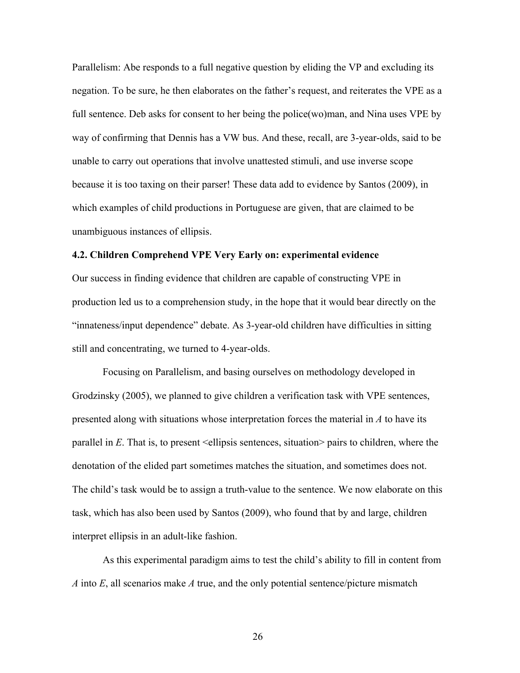Parallelism: Abe responds to a full negative question by eliding the VP and excluding its negation. To be sure, he then elaborates on the father's request, and reiterates the VPE as a full sentence. Deb asks for consent to her being the police(wo)man, and Nina uses VPE by way of confirming that Dennis has a VW bus. And these, recall, are 3-year-olds, said to be unable to carry out operations that involve unattested stimuli, and use inverse scope because it is too taxing on their parser! These data add to evidence by Santos (2009), in which examples of child productions in Portuguese are given, that are claimed to be unambiguous instances of ellipsis.

### **4.2. Children Comprehend VPE Very Early on: experimental evidence**

Our success in finding evidence that children are capable of constructing VPE in production led us to a comprehension study, in the hope that it would bear directly on the "innateness/input dependence" debate. As 3-year-old children have difficulties in sitting still and concentrating, we turned to 4-year-olds.

Focusing on Parallelism, and basing ourselves on methodology developed in Grodzinsky (2005), we planned to give children a verification task with VPE sentences, presented along with situations whose interpretation forces the material in *A* to have its parallel in  $E$ . That is, to present  $\leq$  ellipsis sentences, situation  $\geq$  pairs to children, where the denotation of the elided part sometimes matches the situation, and sometimes does not. The child's task would be to assign a truth-value to the sentence. We now elaborate on this task, which has also been used by Santos (2009), who found that by and large, children interpret ellipsis in an adult-like fashion.

As this experimental paradigm aims to test the child's ability to fill in content from *A* into *E*, all scenarios make *A* true, and the only potential sentence/picture mismatch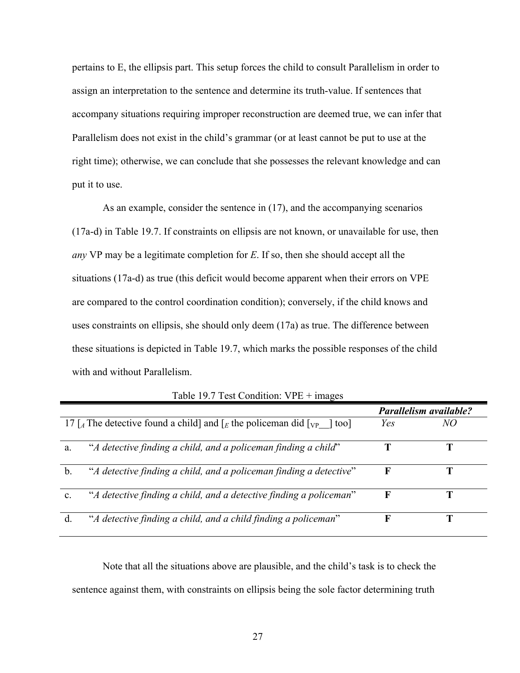pertains to E, the ellipsis part. This setup forces the child to consult Parallelism in order to assign an interpretation to the sentence and determine its truth-value. If sentences that accompany situations requiring improper reconstruction are deemed true, we can infer that Parallelism does not exist in the child's grammar (or at least cannot be put to use at the right time); otherwise, we can conclude that she possesses the relevant knowledge and can put it to use.

As an example, consider the sentence in (17), and the accompanying scenarios (17a-d) in Table 19.7. If constraints on ellipsis are not known, or unavailable for use, then *any* VP may be a legitimate completion for *E*. If so, then she should accept all the situations (17a-d) as true (this deficit would become apparent when their errors on VPE are compared to the control coordination condition); conversely, if the child knows and uses constraints on ellipsis, she should only deem (17a) as true. The difference between these situations is depicted in Table 19.7, which marks the possible responses of the child with and without Parallelism.

|                                                                                      |     | Parallelism available? |
|--------------------------------------------------------------------------------------|-----|------------------------|
| 17 [A] The detective found a child] and [E] the policeman did [ $_{VP}$ 1 too]       | Yes | NΟ                     |
| "A detective finding a child, and a policeman finding a child"<br>a.                 |     |                        |
| "A detective finding a child, and a policeman finding a detective"<br>b.             |     |                        |
| "A detective finding a child, and a detective finding a policeman"<br>$\mathbf{c}$ . |     |                        |
| "A detective finding a child, and a child finding a policeman"<br>d.                 |     |                        |

Table 19.7 Test Condition: VPE + images

Note that all the situations above are plausible, and the child's task is to check the sentence against them, with constraints on ellipsis being the sole factor determining truth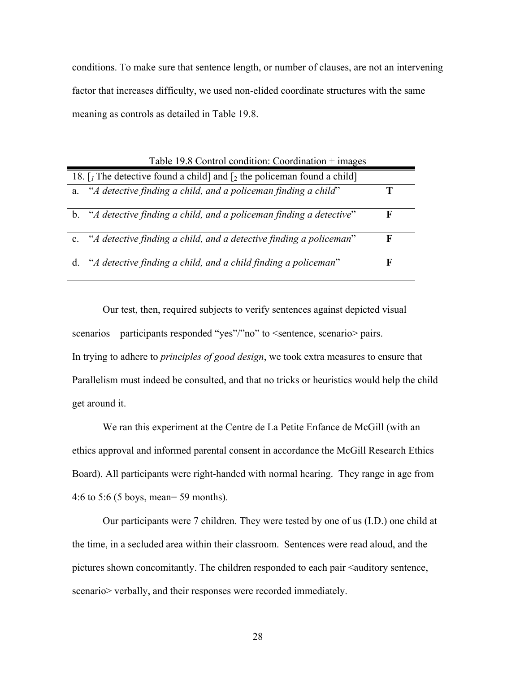conditions. To make sure that sentence length, or number of clauses, are not an intervening factor that increases difficulty, we used non-elided coordinate structures with the same meaning as controls as detailed in Table 19.8.

|         | Table 19.8 Control condition: Coordination + images                                 |   |  |  |  |  |
|---------|-------------------------------------------------------------------------------------|---|--|--|--|--|
|         | 18. $\lceil$ The detective found a child] and $\lceil$ the policeman found a child] |   |  |  |  |  |
| a.      | "A detective finding a child, and a policeman finding a child"                      |   |  |  |  |  |
|         | b. "A detective finding a child, and a policeman finding a detective"               | F |  |  |  |  |
|         | c. "A detective finding a child, and a detective finding a policeman"               | н |  |  |  |  |
| $d_{-}$ | "A detective finding a child, and a child finding a policeman"                      | F |  |  |  |  |

Our test, then, required subjects to verify sentences against depicted visual scenarios – participants responded "yes"/"no" to <sentence, scenario pairs. In trying to adhere to *principles of good design*, we took extra measures to ensure that Parallelism must indeed be consulted, and that no tricks or heuristics would help the child get around it.

We ran this experiment at the Centre de La Petite Enfance de McGill (with an ethics approval and informed parental consent in accordance the McGill Research Ethics Board). All participants were right-handed with normal hearing. They range in age from 4:6 to 5:6 (5 boys, mean= 59 months).

Our participants were 7 children. They were tested by one of us (I.D.) one child at the time, in a secluded area within their classroom. Sentences were read aloud, and the pictures shown concomitantly. The children responded to each pair  $\leq$  auditory sentence, scenario> verbally, and their responses were recorded immediately.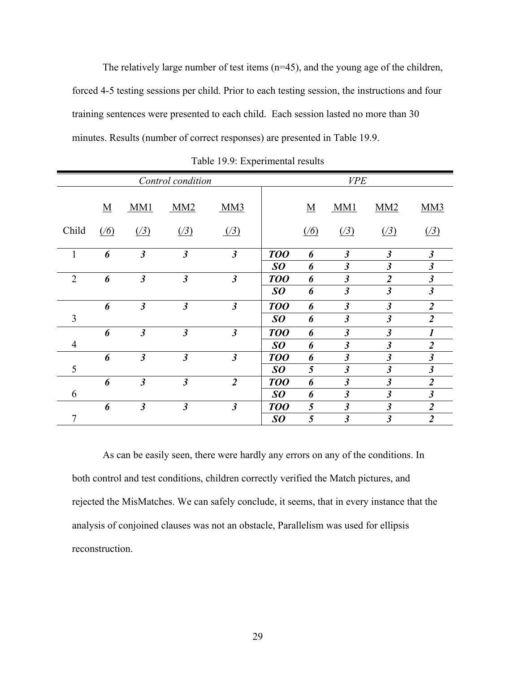The relatively large number of test items (n=45), and the young age of the children, forced 4-5 testing sessions per child. Prior to each testing session, the instructions and four training sentences were presented to each child. Each session lasted no more than 30 minutes. Results (number of correct responses) are presented in Table 19.9.

|                |      |                      | Control condition    |                |     |       | <b>VPE</b>              |                         |                         |
|----------------|------|----------------------|----------------------|----------------|-----|-------|-------------------------|-------------------------|-------------------------|
|                | M    | MM1                  | MM2                  | MM3            |     | M     | MM1                     | MM <sub>2</sub>         | MM3                     |
| Child          | (16) | (3)                  | (3)                  | (3)            |     | (1/6) | $\frac{7}{3}$           | (1/3)                   | (1/3)                   |
| 1              | 6    | $\mathfrak{z}$       | $\mathfrak{z}$       | $\mathfrak{z}$ | TOO | 6     | $\boldsymbol{\beta}$    | $\boldsymbol{\beta}$    | $\mathfrak{z}$          |
|                |      |                      |                      |                | SO  | 6     | $\mathfrak{Z}$          | $\mathfrak{z}$          | $\mathfrak{z}$          |
| $\overline{2}$ | 6    | $\mathfrak{z}$       | $\mathfrak{z}$       | $\mathfrak{z}$ | TOO | 6     | $\boldsymbol{\beta}$    | $\overline{2}$          | $\mathfrak{z}$          |
|                |      |                      |                      |                | SO  | 6     | $\boldsymbol{\beta}$    | $\boldsymbol{\beta}$    | $\mathfrak{z}$          |
|                | 6    | $\mathfrak{z}$       | $\mathfrak{z}$       | $\mathfrak{z}$ | TOO | 6     | $\mathfrak{z}$          | $\mathfrak{z}$          | $\overline{2}$          |
| 3              |      |                      |                      |                | SO  | 6     | $\boldsymbol{\beta}$    | $\boldsymbol{\beta}$    | $\overline{2}$          |
|                | 6    | $\boldsymbol{\beta}$ | $\boldsymbol{\beta}$ | $\mathfrak{z}$ | TOO | 6     | $\mathfrak{z}$          | $\mathfrak{z}$          | 1                       |
| 4              |      |                      |                      |                | SO  | 6     | $\overline{\mathbf{3}}$ | $\overline{\mathbf{3}}$ | $\overline{2}$          |
|                | 6    | $\mathfrak{z}$       | $\mathfrak{Z}$       | $\mathfrak{Z}$ | TOO | 6     | $\mathfrak{Z}$          | $\mathfrak{Z}$          | $\boldsymbol{\beta}$    |
| 5              |      |                      |                      |                | SO  | 5     | $\mathfrak{Z}$          | $\mathfrak{Z}$          | $\mathfrak{z}$          |
|                | 6    | $\mathfrak{z}$       | $\mathfrak{z}$       | $\overline{2}$ | TOO | 6     | $\boldsymbol{\beta}$    | $\mathfrak{z}$          | $\overline{2}$          |
| 6              |      |                      |                      |                | SO  | 6     | $\mathfrak{z}$          | $\overline{\mathbf{3}}$ | $\overline{\mathbf{3}}$ |
|                | 6    | $\mathfrak{z}$       | $\mathfrak{z}$       | $\mathfrak{z}$ | TOO | 5     | $\mathfrak{z}$          | $\mathfrak{z}$          | $\overline{2}$          |
| 7              |      |                      |                      |                | SO  | 5     | $\mathfrak{z}$          | $\overline{\mathbf{3}}$ | $\overline{2}$          |

Table 19.9: Experimental results

As can be easily seen, there were hardly any errors on any of the conditions. In both control and test conditions, children correctly verified the Match pictures, and rejected the MisMatches. We can safely conclude, it seems, that in every instance that the analysis of conjoined clauses was not an obstacle, Parallelism was used for ellipsis reconstruction.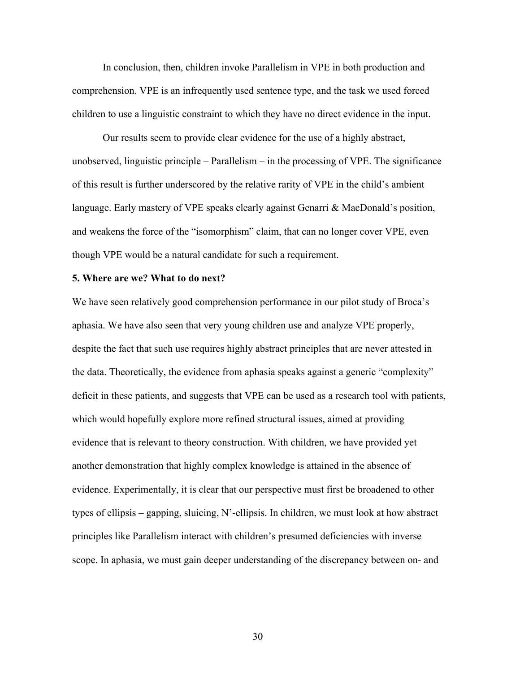In conclusion, then, children invoke Parallelism in VPE in both production and comprehension. VPE is an infrequently used sentence type, and the task we used forced children to use a linguistic constraint to which they have no direct evidence in the input.

Our results seem to provide clear evidence for the use of a highly abstract, unobserved, linguistic principle – Parallelism – in the processing of VPE. The significance of this result is further underscored by the relative rarity of VPE in the child's ambient language. Early mastery of VPE speaks clearly against Genarri & MacDonald's position, and weakens the force of the "isomorphism" claim, that can no longer cover VPE, even though VPE would be a natural candidate for such a requirement.

### **5. Where are we? What to do next?**

We have seen relatively good comprehension performance in our pilot study of Broca's aphasia. We have also seen that very young children use and analyze VPE properly, despite the fact that such use requires highly abstract principles that are never attested in the data. Theoretically, the evidence from aphasia speaks against a generic "complexity" deficit in these patients, and suggests that VPE can be used as a research tool with patients, which would hopefully explore more refined structural issues, aimed at providing evidence that is relevant to theory construction. With children, we have provided yet another demonstration that highly complex knowledge is attained in the absence of evidence. Experimentally, it is clear that our perspective must first be broadened to other types of ellipsis – gapping, sluicing, N'-ellipsis. In children, we must look at how abstract principles like Parallelism interact with children's presumed deficiencies with inverse scope. In aphasia, we must gain deeper understanding of the discrepancy between on- and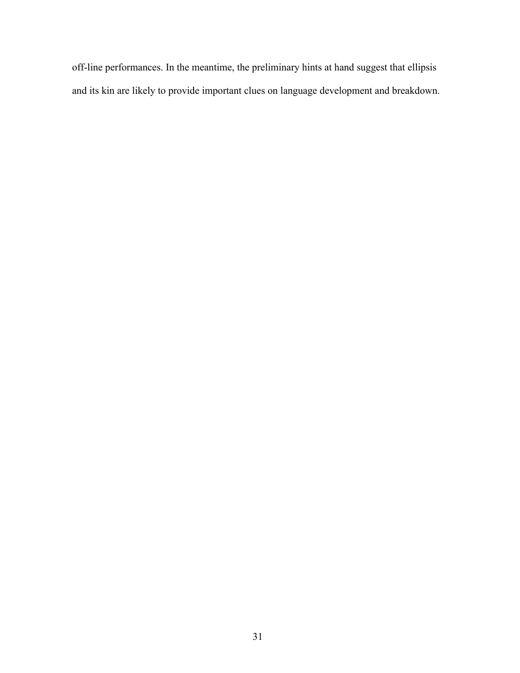off-line performances. In the meantime, the preliminary hints at hand suggest that ellipsis and its kin are likely to provide important clues on language development and breakdown.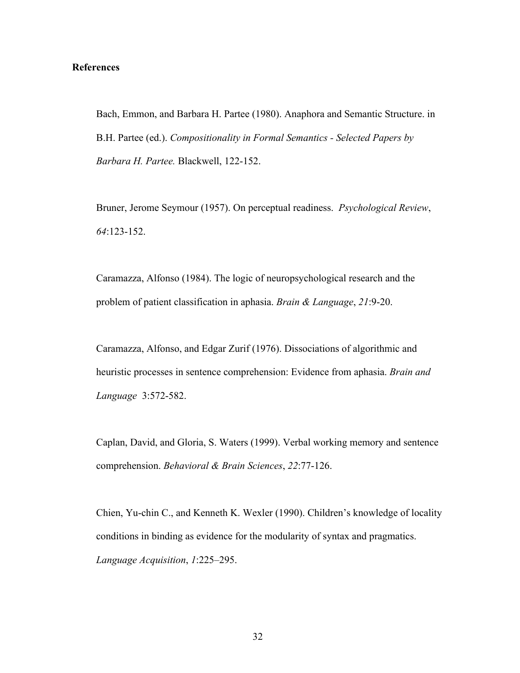# **References**

Bach, Emmon, and Barbara H. Partee (1980). Anaphora and Semantic Structure. in B.H. Partee (ed.). *Compositionality in Formal Semantics - Selected Papers by Barbara H. Partee.* Blackwell, 122-152.

Bruner, Jerome Seymour (1957). On perceptual readiness. *Psychological Review*, *64*:123-152.

Caramazza, Alfonso (1984). The logic of neuropsychological research and the problem of patient classification in aphasia. *Brain & Language*, *21*:9-20.

Caramazza, Alfonso, and Edgar Zurif (1976). Dissociations of algorithmic and heuristic processes in sentence comprehension: Evidence from aphasia. *Brain and Language* 3:572-582.

Caplan, David, and Gloria, S. Waters (1999). Verbal working memory and sentence comprehension. *Behavioral & Brain Sciences*, *22*:77-126.

Chien, Yu-chin C., and Kenneth K. Wexler (1990). Children's knowledge of locality conditions in binding as evidence for the modularity of syntax and pragmatics. *Language Acquisition*, *1*:225–295.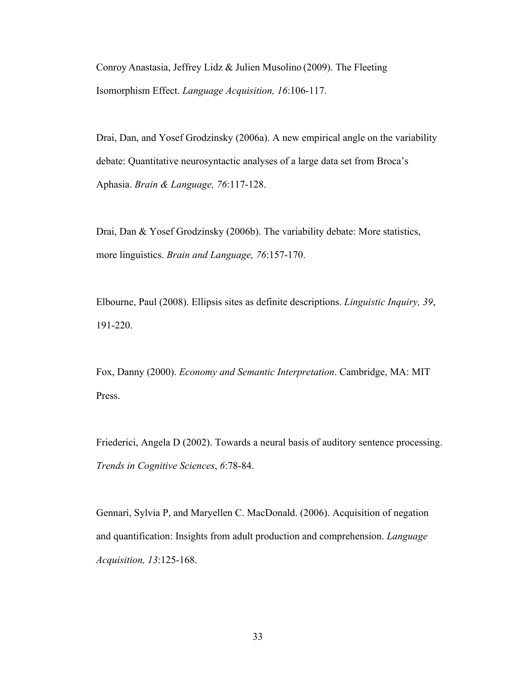Conroy Anastasia, Jeffrey Lidz & Julien Musolino (2009). The Fleeting Isomorphism Effect. *Language Acquisition, 16*:106-117.

Drai, Dan, and Yosef Grodzinsky (2006a). A new empirical angle on the variability debate: Quantitative neurosyntactic analyses of a large data set from Broca's Aphasia. *Brain & Language, 76*:117-128.

Drai, Dan & Yosef Grodzinsky (2006b). The variability debate: More statistics, more linguistics. *Brain and Language, 76*:157-170.

Elbourne, Paul (2008). Ellipsis sites as definite descriptions. *Linguistic Inquiry, 39*, 191-220.

Fox, Danny (2000). *Economy and Semantic Interpretation*. Cambridge, MA: MIT Press.

Friederici, Angela D (2002). Towards a neural basis of auditory sentence processing. *Trends in Cognitive Sciences*, *6*:78-84.

Gennari, Sylvia P, and Maryellen C. MacDonald. (2006). Acquisition of negation and quantification: Insights from adult production and comprehension. *Language Acquisition, 13*:125-168.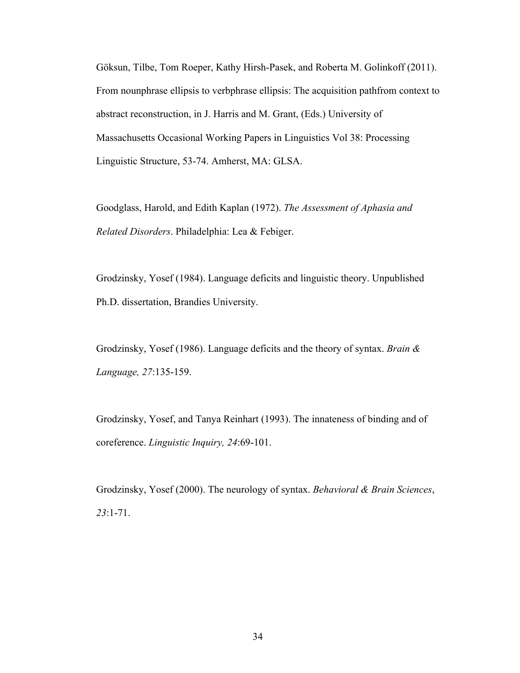Göksun, Tilbe, Tom Roeper, Kathy Hirsh-Pasek, and Roberta M. Golinkoff (2011). From nounphrase ellipsis to verbphrase ellipsis: The acquisition pathfrom context to abstract reconstruction, in J. Harris and M. Grant, (Eds.) University of Massachusetts Occasional Working Papers in Linguistics Vol 38: Processing Linguistic Structure, 53-74. Amherst, MA: GLSA.

Goodglass, Harold, and Edith Kaplan (1972). *The Assessment of Aphasia and Related Disorders*. Philadelphia: Lea & Febiger.

Grodzinsky, Yosef (1984). Language deficits and linguistic theory. Unpublished Ph.D. dissertation, Brandies University.

Grodzinsky, Yosef (1986). Language deficits and the theory of syntax. *Brain & Language, 27*:135-159.

Grodzinsky, Yosef, and Tanya Reinhart (1993). The innateness of binding and of coreference. *Linguistic Inquiry, 24*:69-101.

Grodzinsky, Yosef (2000). The neurology of syntax. *Behavioral & Brain Sciences*, *23*:1-71.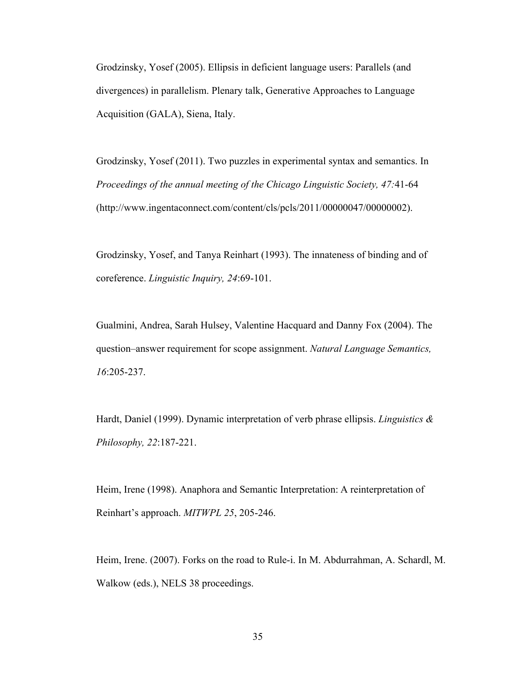Grodzinsky, Yosef (2005). Ellipsis in deficient language users: Parallels (and divergences) in parallelism. Plenary talk, Generative Approaches to Language Acquisition (GALA), Siena, Italy.

Grodzinsky, Yosef (2011). Two puzzles in experimental syntax and semantics. In *Proceedings of the annual meeting of the Chicago Linguistic Society, 47:*41-64 (http://www.ingentaconnect.com/content/cls/pcls/2011/00000047/00000002).

Grodzinsky, Yosef, and Tanya Reinhart (1993). The innateness of binding and of coreference. *Linguistic Inquiry, 24*:69-101.

Gualmini, Andrea, Sarah Hulsey, Valentine Hacquard and Danny Fox (2004). The question–answer requirement for scope assignment. *Natural Language Semantics, 16*:205-237.

Hardt, Daniel (1999). Dynamic interpretation of verb phrase ellipsis. *Linguistics & Philosophy, 22*:187-221.

Heim, Irene (1998). Anaphora and Semantic Interpretation: A reinterpretation of Reinhart's approach. *MITWPL 25*, 205-246.

Heim, Irene. (2007). Forks on the road to Rule-i. In M. Abdurrahman, A. Schardl, M. Walkow (eds.), NELS 38 proceedings.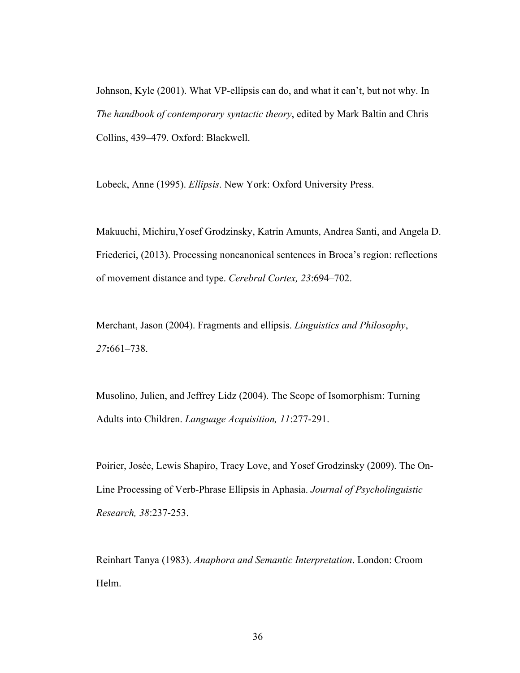Johnson, Kyle (2001). What VP-ellipsis can do, and what it can't, but not why. In *The handbook of contemporary syntactic theory*, edited by Mark Baltin and Chris Collins, 439–479. Oxford: Blackwell.

Lobeck, Anne (1995). *Ellipsis*. New York: Oxford University Press.

Makuuchi, Michiru,Yosef Grodzinsky, Katrin Amunts, Andrea Santi, and Angela D. Friederici, (2013). Processing noncanonical sentences in Broca's region: reflections of movement distance and type. *Cerebral Cortex, 23*:694–702.

Merchant, Jason (2004). Fragments and ellipsis. *Linguistics and Philosophy*, *27***:**661–738.

Musolino, Julien, and Jeffrey Lidz (2004). The Scope of Isomorphism: Turning Adults into Children. *Language Acquisition, 11*:277-291.

Poirier, Josée, Lewis Shapiro, Tracy Love, and Yosef Grodzinsky (2009). The On-Line Processing of Verb-Phrase Ellipsis in Aphasia. *Journal of Psycholinguistic Research, 38*:237-253.

Reinhart Tanya (1983). *Anaphora and Semantic Interpretation*. London: Croom Helm.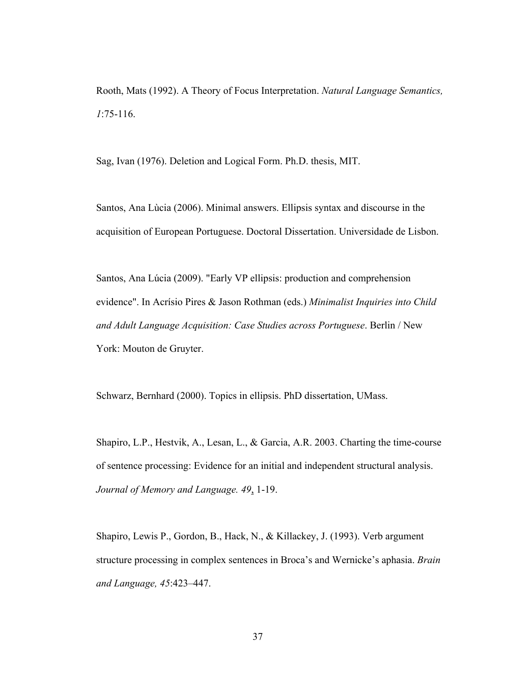Rooth, Mats (1992). A Theory of Focus Interpretation. *Natural Language Semantics, 1*:75-116.

Sag, Ivan (1976). Deletion and Logical Form. Ph.D. thesis, MIT.

Santos, Ana Lùcia (2006). Minimal answers. Ellipsis syntax and discourse in the acquisition of European Portuguese. Doctoral Dissertation. Universidade de Lisbon.

Santos, Ana Lúcia (2009). "Early VP ellipsis: production and comprehension evidence". In Acrísio Pires & Jason Rothman (eds.) *Minimalist Inquiries into Child and Adult Language Acquisition: Case Studies across Portuguese*. Berlin / New York: Mouton de Gruyter.

Schwarz, Bernhard (2000). Topics in ellipsis. PhD dissertation, UMass.

Shapiro, L.P., Hestvik, A., Lesan, L., & Garcia, A.R. 2003. Charting the time-course of sentence processing: Evidence for an initial and independent structural analysis. *Journal of Memory and Language. 49*, 1-19.

Shapiro, Lewis P., Gordon, B., Hack, N., & Killackey, J. (1993). Verb argument structure processing in complex sentences in Broca's and Wernicke's aphasia. *Brain and Language, 45*:423–447.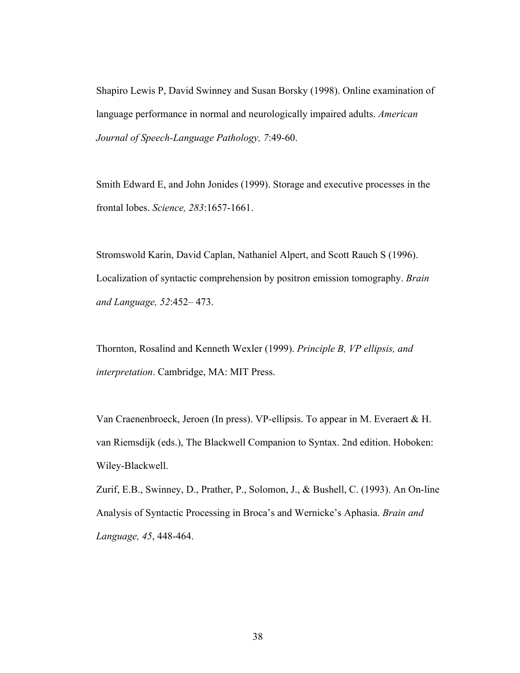Shapiro Lewis P, David Swinney and Susan Borsky (1998). Online examination of language performance in normal and neurologically impaired adults. *American Journal of Speech-Language Pathology, 7*:49-60.

Smith Edward E, and John Jonides (1999). Storage and executive processes in the frontal lobes. *Science, 283*:1657-1661.

Stromswold Karin, David Caplan, Nathaniel Alpert, and Scott Rauch S (1996). Localization of syntactic comprehension by positron emission tomography. *Brain and Language, 52*:452– 473.

Thornton, Rosalind and Kenneth Wexler (1999). *Principle B, VP ellipsis, and interpretation*. Cambridge, MA: MIT Press.

Van Craenenbroeck, Jeroen (In press). VP-ellipsis. To appear in M. Everaert & H. van Riemsdijk (eds.), The Blackwell Companion to Syntax. 2nd edition. Hoboken: Wiley-Blackwell.

Zurif, E.B., Swinney, D., Prather, P., Solomon, J., & Bushell, C. (1993). An On-line Analysis of Syntactic Processing in Broca's and Wernicke's Aphasia. *Brain and Language, 45*, 448-464.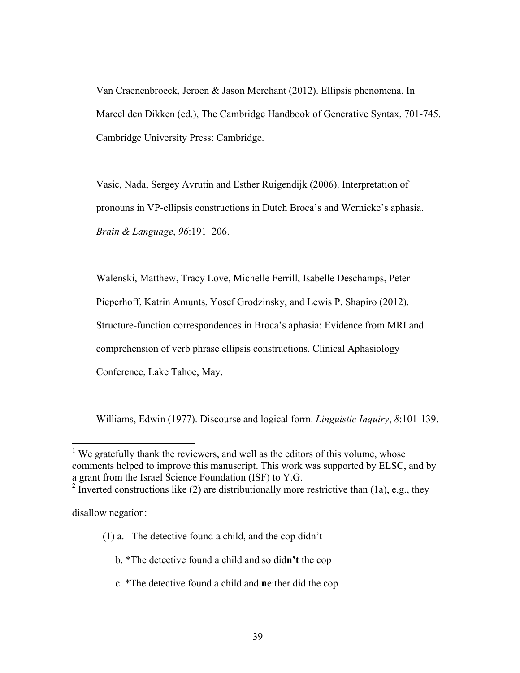Van Craenenbroeck, Jeroen & Jason Merchant (2012). Ellipsis phenomena. In Marcel den Dikken (ed.), The Cambridge Handbook of Generative Syntax, 701-745. Cambridge University Press: Cambridge.

Vasic, Nada, Sergey Avrutin and Esther Ruigendijk (2006). Interpretation of pronouns in VP-ellipsis constructions in Dutch Broca's and Wernicke's aphasia. *Brain & Language*, *96*:191–206.

Walenski, Matthew, Tracy Love, Michelle Ferrill, Isabelle Deschamps, Peter Pieperhoff, Katrin Amunts, Yosef Grodzinsky, and Lewis P. Shapiro (2012). Structure-function correspondences in Broca's aphasia: Evidence from MRI and comprehension of verb phrase ellipsis constructions. Clinical Aphasiology Conference, Lake Tahoe, May.

Williams, Edwin (1977). Discourse and logical form. *Linguistic Inquiry*, *8*:101-139.

disallow negation:

(1) a. The detective found a child, and the cop didn't

- b. \*The detective found a child and so did**n't** the cop
- c. \*The detective found a child and **n**either did the cop

 $1$  We gratefully thank the reviewers, and well as the editors of this volume, whose comments helped to improve this manuscript. This work was supported by ELSC, and by a grant from the Israel Science Foundation (ISF) to Y.G.

<sup>&</sup>lt;sup>2</sup> Inverted constructions like (2) are distributionally more restrictive than (1a), e.g., they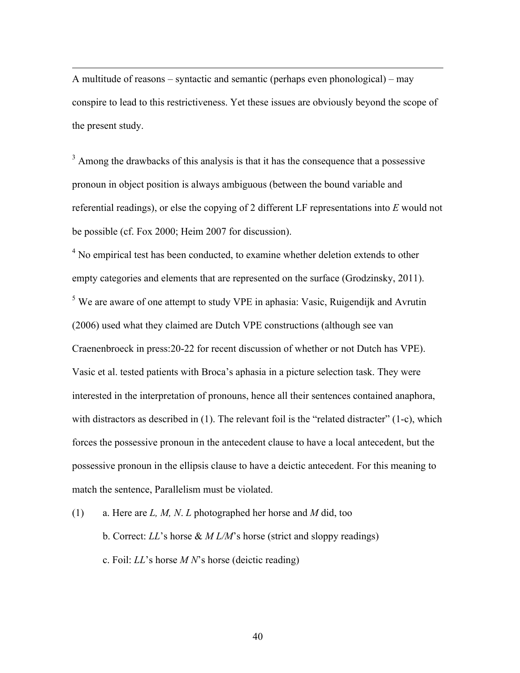A multitude of reasons – syntactic and semantic (perhaps even phonological) – may conspire to lead to this restrictiveness. Yet these issues are obviously beyond the scope of the present study.

 $\overline{a}$ 

<sup>3</sup> Among the drawbacks of this analysis is that it has the consequence that a possessive pronoun in object position is always ambiguous (between the bound variable and referential readings), or else the copying of 2 different LF representations into *E* would not be possible (cf. Fox 2000; Heim 2007 for discussion).

<sup>4</sup> No empirical test has been conducted, to examine whether deletion extends to other empty categories and elements that are represented on the surface (Grodzinsky, 2011). <sup>5</sup> We are aware of one attempt to study VPE in aphasia: Vasic, Ruigendijk and Avrutin (2006) used what they claimed are Dutch VPE constructions (although see van Craenenbroeck in press:20-22 for recent discussion of whether or not Dutch has VPE). Vasic et al. tested patients with Broca's aphasia in a picture selection task. They were interested in the interpretation of pronouns, hence all their sentences contained anaphora, with distractors as described in (1). The relevant foil is the "related distracter" (1-c), which forces the possessive pronoun in the antecedent clause to have a local antecedent, but the possessive pronoun in the ellipsis clause to have a deictic antecedent. For this meaning to match the sentence, Parallelism must be violated.

(1) a. Here are *L, M, N*. *L* photographed her horse and *M* did, too b. Correct: *LL*'s horse & *M L/M*'s horse (strict and sloppy readings) c. Foil: *LL*'s horse *M N*'s horse (deictic reading)